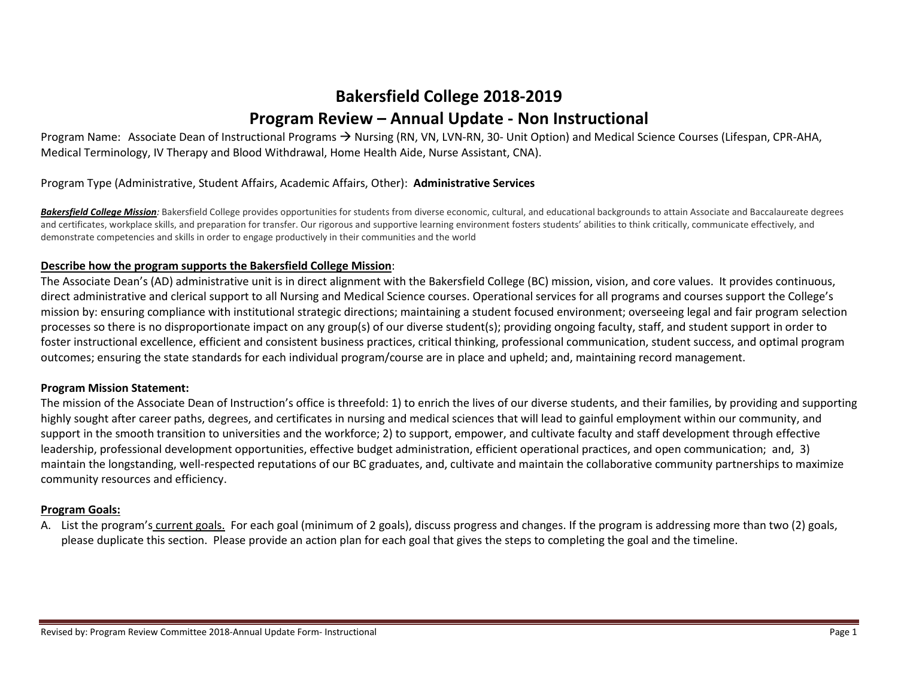# **Bakersfield College 2018-2019 Program Review – Annual Update - Non Instructional**

Program Name: Associate Dean of Instructional Programs  $\rightarrow$  Nursing (RN, VN, LVN-RN, 30- Unit Option) and Medical Science Courses (Lifespan, CPR-AHA, Medical Terminology, IV Therapy and Blood Withdrawal, Home Health Aide, Nurse Assistant, CNA).

#### Program Type (Administrative, Student Affairs, Academic Affairs, Other): **Administrative Services**

Bakersfield College Mission: Bakersfield College provides opportunities for students from diverse economic, cultural, and educational backgrounds to attain Associate and Baccalaureate degrees and certificates, workplace skills, and preparation for transfer. Our rigorous and supportive learning environment fosters students' abilities to think critically, communicate effectively, and demonstrate competencies and skills in order to engage productively in their communities and the world

#### **Describe how the program supports the Bakersfield College Mission**:

The Associate Dean's (AD) administrative unit is in direct alignment with the Bakersfield College (BC) mission, vision, and core values. It provides continuous, direct administrative and clerical support to all Nursing and Medical Science courses. Operational services for all programs and courses support the College's mission by: ensuring compliance with institutional strategic directions; maintaining a student focused environment; overseeing legal and fair program selection processes so there is no disproportionate impact on any group(s) of our diverse student(s); providing ongoing faculty, staff, and student support in order to foster instructional excellence, efficient and consistent business practices, critical thinking, professional communication, student success, and optimal program outcomes; ensuring the state standards for each individual program/course are in place and upheld; and, maintaining record management.

#### **Program Mission Statement:**

The mission of the Associate Dean of Instruction's office is threefold: 1) to enrich the lives of our diverse students, and their families, by providing and supporting highly sought after career paths, degrees, and certificates in nursing and medical sciences that will lead to gainful employment within our community, and support in the smooth transition to universities and the workforce; 2) to support, empower, and cultivate faculty and staff development through effective leadership, professional development opportunities, effective budget administration, efficient operational practices, and open communication; and, 3) maintain the longstanding, well-respected reputations of our BC graduates, and, cultivate and maintain the collaborative community partnerships to maximize community resources and efficiency.

#### **Program Goals:**

A. List the program's current goals. For each goal (minimum of 2 goals), discuss progress and changes. If the program is addressing more than two (2) goals, please duplicate this section. Please provide an action plan for each goal that gives the steps to completing the goal and the timeline.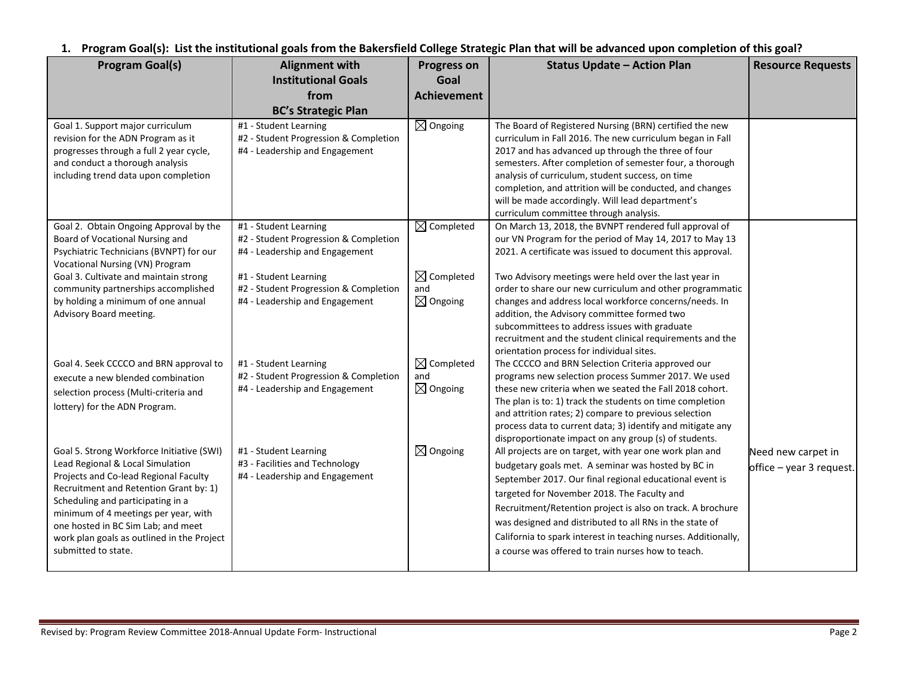**1. Program Goal(s): List the institutional goals from the Bakersfield College Strategic Plan that will be advanced upon completion of this goal?** 

| <b>Program Goal(s)</b>                                                                                                                                                                                                                                                                                                                                   | <b>Alignment with</b>                                                                            | <b>Progress on</b>                                  | <b>Status Update - Action Plan</b>                                                                                                                                                                                                                                                                                                                                                                                                                                       | <b>Resource Requests</b>                       |
|----------------------------------------------------------------------------------------------------------------------------------------------------------------------------------------------------------------------------------------------------------------------------------------------------------------------------------------------------------|--------------------------------------------------------------------------------------------------|-----------------------------------------------------|--------------------------------------------------------------------------------------------------------------------------------------------------------------------------------------------------------------------------------------------------------------------------------------------------------------------------------------------------------------------------------------------------------------------------------------------------------------------------|------------------------------------------------|
|                                                                                                                                                                                                                                                                                                                                                          | <b>Institutional Goals</b>                                                                       | Goal                                                |                                                                                                                                                                                                                                                                                                                                                                                                                                                                          |                                                |
|                                                                                                                                                                                                                                                                                                                                                          | from                                                                                             | <b>Achievement</b>                                  |                                                                                                                                                                                                                                                                                                                                                                                                                                                                          |                                                |
|                                                                                                                                                                                                                                                                                                                                                          | <b>BC's Strategic Plan</b>                                                                       |                                                     |                                                                                                                                                                                                                                                                                                                                                                                                                                                                          |                                                |
| Goal 1. Support major curriculum<br>revision for the ADN Program as it<br>progresses through a full 2 year cycle,<br>and conduct a thorough analysis<br>including trend data upon completion                                                                                                                                                             | #1 - Student Learning<br>#2 - Student Progression & Completion<br>#4 - Leadership and Engagement | $\boxtimes$ Ongoing                                 | The Board of Registered Nursing (BRN) certified the new<br>curriculum in Fall 2016. The new curriculum began in Fall<br>2017 and has advanced up through the three of four<br>semesters. After completion of semester four, a thorough<br>analysis of curriculum, student success, on time<br>completion, and attrition will be conducted, and changes<br>will be made accordingly. Will lead department's<br>curriculum committee through analysis.                     |                                                |
| Goal 2. Obtain Ongoing Approval by the<br>Board of Vocational Nursing and<br>Psychiatric Technicians (BVNPT) for our<br><b>Vocational Nursing (VN) Program</b>                                                                                                                                                                                           | #1 - Student Learning<br>#2 - Student Progression & Completion<br>#4 - Leadership and Engagement | $\boxtimes$ Completed                               | On March 13, 2018, the BVNPT rendered full approval of<br>our VN Program for the period of May 14, 2017 to May 13<br>2021. A certificate was issued to document this approval.                                                                                                                                                                                                                                                                                           |                                                |
| Goal 3. Cultivate and maintain strong<br>community partnerships accomplished<br>by holding a minimum of one annual<br>Advisory Board meeting.                                                                                                                                                                                                            | #1 - Student Learning<br>#2 - Student Progression & Completion<br>#4 - Leadership and Engagement | $\boxtimes$ Completed<br>and<br>$\boxtimes$ Ongoing | Two Advisory meetings were held over the last year in<br>order to share our new curriculum and other programmatic<br>changes and address local workforce concerns/needs. In<br>addition, the Advisory committee formed two<br>subcommittees to address issues with graduate<br>recruitment and the student clinical requirements and the<br>orientation process for individual sites.                                                                                    |                                                |
| Goal 4. Seek CCCCO and BRN approval to<br>execute a new blended combination<br>selection process (Multi-criteria and<br>lottery) for the ADN Program.                                                                                                                                                                                                    | #1 - Student Learning<br>#2 - Student Progression & Completion<br>#4 - Leadership and Engagement | $\boxtimes$ Completed<br>and<br>$\boxtimes$ Ongoing | The CCCCO and BRN Selection Criteria approved our<br>programs new selection process Summer 2017. We used<br>these new criteria when we seated the Fall 2018 cohort.<br>The plan is to: 1) track the students on time completion<br>and attrition rates; 2) compare to previous selection<br>process data to current data; 3) identify and mitigate any<br>disproportionate impact on any group (s) of students.                                                          |                                                |
| Goal 5. Strong Workforce Initiative (SWI)<br>Lead Regional & Local Simulation<br>Projects and Co-lead Regional Faculty<br>Recruitment and Retention Grant by: 1)<br>Scheduling and participating in a<br>minimum of 4 meetings per year, with<br>one hosted in BC Sim Lab; and meet<br>work plan goals as outlined in the Project<br>submitted to state. | #1 - Student Learning<br>#3 - Facilities and Technology<br>#4 - Leadership and Engagement        | $\boxtimes$ Ongoing                                 | All projects are on target, with year one work plan and<br>budgetary goals met. A seminar was hosted by BC in<br>September 2017. Our final regional educational event is<br>targeted for November 2018. The Faculty and<br>Recruitment/Retention project is also on track. A brochure<br>was designed and distributed to all RNs in the state of<br>California to spark interest in teaching nurses. Additionally,<br>a course was offered to train nurses how to teach. | Need new carpet in<br>office - year 3 request. |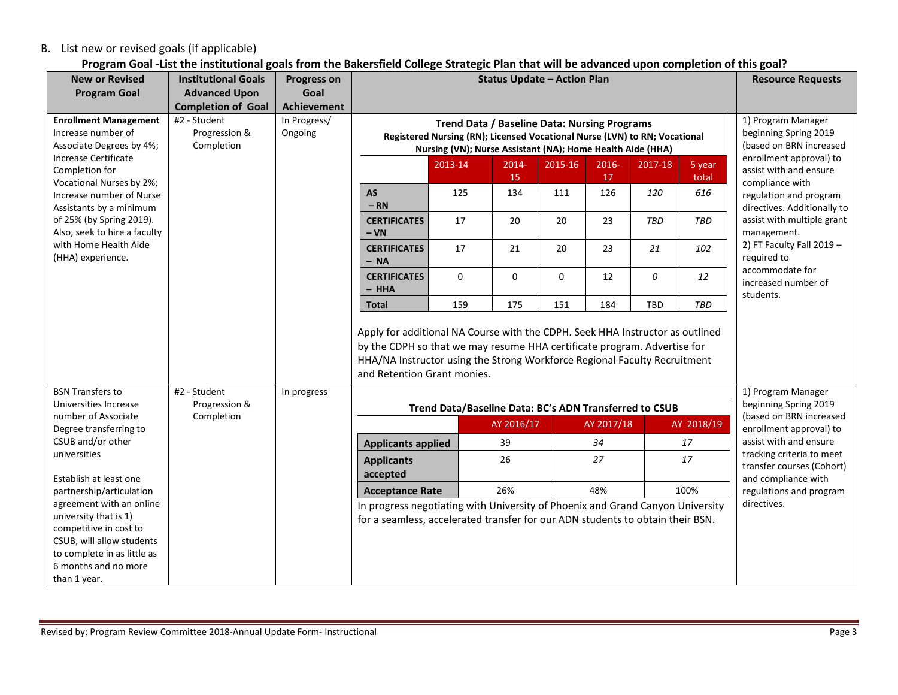## B. List new or revised goals (if applicable)

# **Program Goal -List the institutional goals from the Bakersfield College Strategic Plan that will be advanced upon completion of this goal?**

| <b>New or Revised</b>                                                                                                                                                           | <b>Institutional Goals</b>                  | <b>Progress on</b>      | <b>Status Update - Action Plan</b>                                                                                                                                                                                                                                    |                                                        |                               |             |             | <b>Resource Requests</b> |                                                                        |                                                                      |                        |
|---------------------------------------------------------------------------------------------------------------------------------------------------------------------------------|---------------------------------------------|-------------------------|-----------------------------------------------------------------------------------------------------------------------------------------------------------------------------------------------------------------------------------------------------------------------|--------------------------------------------------------|-------------------------------|-------------|-------------|--------------------------|------------------------------------------------------------------------|----------------------------------------------------------------------|------------------------|
| <b>Program Goal</b>                                                                                                                                                             | <b>Advanced Upon</b>                        | Goal                    |                                                                                                                                                                                                                                                                       |                                                        |                               |             |             |                          |                                                                        |                                                                      |                        |
|                                                                                                                                                                                 | <b>Completion of Goal</b>                   | <b>Achievement</b>      |                                                                                                                                                                                                                                                                       |                                                        |                               |             |             |                          |                                                                        |                                                                      |                        |
| <b>Enrollment Management</b><br>Increase number of<br>Associate Degrees by 4%;                                                                                                  | #2 - Student<br>Progression &<br>Completion | In Progress/<br>Ongoing | <b>Trend Data / Baseline Data: Nursing Programs</b><br>Registered Nursing (RN); Licensed Vocational Nurse (LVN) to RN; Vocational<br>Nursing (VN); Nurse Assistant (NA); Home Health Aide (HHA)                                                                       |                                                        |                               |             |             |                          | 1) Program Manager<br>beginning Spring 2019<br>(based on BRN increased |                                                                      |                        |
| <b>Increase Certificate</b><br>Completion for<br>Vocational Nurses by 2%;                                                                                                       |                                             |                         |                                                                                                                                                                                                                                                                       | 2013-14                                                | $2014 -$<br>15                | 2015-16     | 2016-<br>17 | 2017-18                  | 5 year<br>total                                                        | enrollment approval) to<br>assist with and ensure<br>compliance with |                        |
| Increase number of Nurse<br>Assistants by a minimum                                                                                                                             |                                             |                         | <b>AS</b><br>$-RN$                                                                                                                                                                                                                                                    | 125                                                    | 134                           | 111         | 126         | 120                      | 616                                                                    | regulation and program<br>directives. Additionally to                |                        |
| of 25% (by Spring 2019).<br>Also, seek to hire a faculty                                                                                                                        |                                             |                         | <b>CERTIFICATES</b><br>$- VN$                                                                                                                                                                                                                                         | 17                                                     | 20                            | 20          | 23          | TBD                      | TBD                                                                    | assist with multiple grant<br>management.                            |                        |
| with Home Health Aide<br>(HHA) experience.                                                                                                                                      |                                             |                         | <b>CERTIFICATES</b><br>$- NA$                                                                                                                                                                                                                                         | 17                                                     | 21                            | 20          | 23          | 21                       | 102                                                                    | 2) FT Faculty Fall 2019 -<br>required to                             |                        |
|                                                                                                                                                                                 |                                             |                         | <b>CERTIFICATES</b><br>$-$ HHA                                                                                                                                                                                                                                        | 0                                                      | $\mathbf 0$                   | $\mathbf 0$ | 12          | 0                        | 12                                                                     | accommodate for<br>increased number of<br>students.                  |                        |
|                                                                                                                                                                                 |                                             |                         | <b>Total</b>                                                                                                                                                                                                                                                          | 159                                                    | 175                           | 151         | 184         | TBD                      | TBD                                                                    |                                                                      |                        |
|                                                                                                                                                                                 |                                             |                         | Apply for additional NA Course with the CDPH. Seek HHA Instructor as outlined<br>by the CDPH so that we may resume HHA certificate program. Advertise for<br>HHA/NA Instructor using the Strong Workforce Regional Faculty Recruitment<br>and Retention Grant monies. |                                                        |                               |             |             |                          |                                                                        |                                                                      |                        |
| <b>BSN Transfers to</b><br>Universities Increase                                                                                                                                | #2 - Student<br>Progression &               | In progress             |                                                                                                                                                                                                                                                                       | Trend Data/Baseline Data: BC's ADN Transferred to CSUB |                               |             |             |                          |                                                                        | 1) Program Manager<br>beginning Spring 2019                          |                        |
| number of Associate<br>Degree transferring to                                                                                                                                   | Completion                                  |                         |                                                                                                                                                                                                                                                                       |                                                        | AY 2016/17                    |             | AY 2017/18  |                          | AY 2018/19                                                             | (based on BRN increased<br>enrollment approval) to                   |                        |
| CSUB and/or other<br>universities<br>Establish at least one                                                                                                                     |                                             |                         |                                                                                                                                                                                                                                                                       | <b>Applicants applied</b>                              |                               | 39          |             | 34                       |                                                                        | 17                                                                   | assist with and ensure |
|                                                                                                                                                                                 |                                             |                         |                                                                                                                                                                                                                                                                       |                                                        | <b>Applicants</b><br>accepted |             | 26          |                          | 27                                                                     |                                                                      | 17                     |
| partnership/articulation                                                                                                                                                        |                                             |                         | <b>Acceptance Rate</b>                                                                                                                                                                                                                                                |                                                        | 26%                           |             | 48%         |                          | 100%                                                                   | regulations and program                                              |                        |
| agreement with an online<br>university that is 1)<br>competitive in cost to<br>CSUB, will allow students<br>to complete in as little as<br>6 months and no more<br>than 1 year. |                                             |                         | In progress negotiating with University of Phoenix and Grand Canyon University<br>for a seamless, accelerated transfer for our ADN students to obtain their BSN.                                                                                                      |                                                        |                               |             |             |                          |                                                                        | directives.                                                          |                        |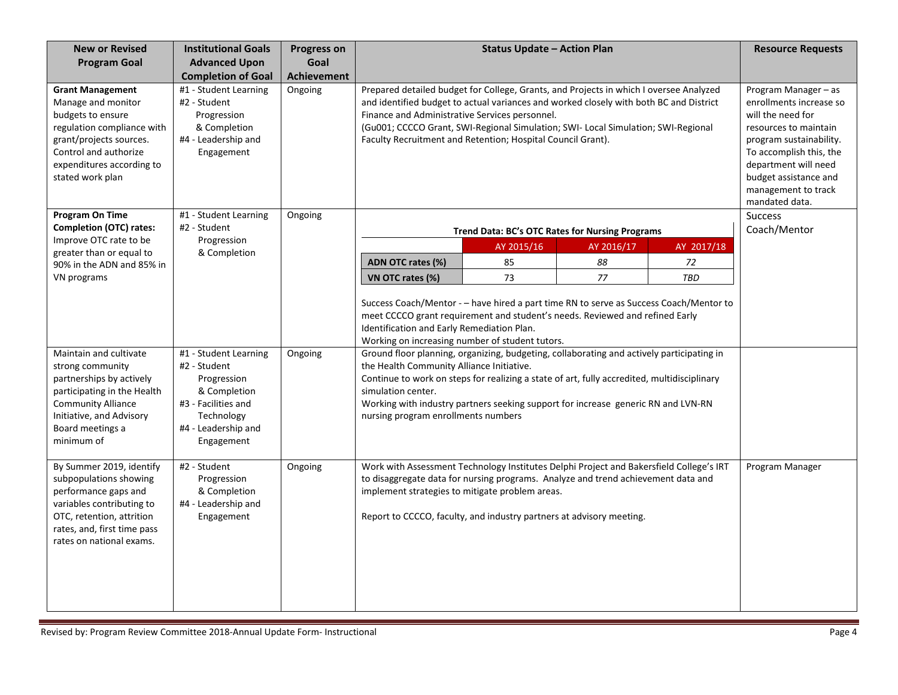| <b>New or Revised</b>                                                                                                                                                                                                             | <b>Institutional Goals</b>                                                                                            | <b>Progress on</b> | <b>Status Update - Action Plan</b>                                                                                                                                                                                                                                                                                                                                                                                                                                                                                                                                                                                                                                 |                                                                                                                                                                                                                                               |            | <b>Resource Requests</b> |                 |
|-----------------------------------------------------------------------------------------------------------------------------------------------------------------------------------------------------------------------------------|-----------------------------------------------------------------------------------------------------------------------|--------------------|--------------------------------------------------------------------------------------------------------------------------------------------------------------------------------------------------------------------------------------------------------------------------------------------------------------------------------------------------------------------------------------------------------------------------------------------------------------------------------------------------------------------------------------------------------------------------------------------------------------------------------------------------------------------|-----------------------------------------------------------------------------------------------------------------------------------------------------------------------------------------------------------------------------------------------|------------|--------------------------|-----------------|
| <b>Program Goal</b>                                                                                                                                                                                                               | <b>Advanced Upon</b>                                                                                                  | Goal               |                                                                                                                                                                                                                                                                                                                                                                                                                                                                                                                                                                                                                                                                    |                                                                                                                                                                                                                                               |            |                          |                 |
|                                                                                                                                                                                                                                   | <b>Completion of Goal</b>                                                                                             | <b>Achievement</b> |                                                                                                                                                                                                                                                                                                                                                                                                                                                                                                                                                                                                                                                                    |                                                                                                                                                                                                                                               |            |                          |                 |
| <b>Grant Management</b><br>Manage and monitor<br>budgets to ensure<br>regulation compliance with<br>grant/projects sources.<br>Control and authorize<br>expenditures according to<br>stated work plan                             | #1 - Student Learning<br>#2 - Student<br>Progression<br>& Completion<br>#4 - Leadership and<br>Engagement             | Ongoing            | Prepared detailed budget for College, Grants, and Projects in which I oversee Analyzed<br>and identified budget to actual variances and worked closely with both BC and District<br>Finance and Administrative Services personnel.<br>(Gu001; CCCCO Grant, SWI-Regional Simulation; SWI- Local Simulation; SWI-Regional<br>Faculty Recruitment and Retention; Hospital Council Grant).                                                                                                                                                                                                                                                                             | Program Manager - as<br>enrollments increase so<br>will the need for<br>resources to maintain<br>program sustainability.<br>To accomplish this, the<br>department will need<br>budget assistance and<br>management to track<br>mandated data. |            |                          |                 |
| <b>Program On Time</b><br><b>Completion (OTC) rates:</b>                                                                                                                                                                          | #1 - Student Learning<br>#2 - Student                                                                                 | Ongoing            |                                                                                                                                                                                                                                                                                                                                                                                                                                                                                                                                                                                                                                                                    |                                                                                                                                                                                                                                               |            |                          | <b>Success</b>  |
| Improve OTC rate to be                                                                                                                                                                                                            | Progression                                                                                                           |                    |                                                                                                                                                                                                                                                                                                                                                                                                                                                                                                                                                                                                                                                                    | Trend Data: BC's OTC Rates for Nursing Programs                                                                                                                                                                                               |            |                          | Coach/Mentor    |
| greater than or equal to                                                                                                                                                                                                          | & Completion                                                                                                          |                    |                                                                                                                                                                                                                                                                                                                                                                                                                                                                                                                                                                                                                                                                    | AY 2015/16                                                                                                                                                                                                                                    | AY 2016/17 | AY 2017/18               |                 |
| 90% in the ADN and 85% in<br>VN programs                                                                                                                                                                                          |                                                                                                                       |                    | ADN OTC rates (%)<br>VN OTC rates (%)                                                                                                                                                                                                                                                                                                                                                                                                                                                                                                                                                                                                                              | 85<br>73                                                                                                                                                                                                                                      | 88<br>77   | 72<br><b>TBD</b>         |                 |
| Maintain and cultivate<br>strong community<br>partnerships by actively<br>participating in the Health<br><b>Community Alliance</b><br>Initiative, and Advisory                                                                    | #1 - Student Learning<br>#2 - Student<br>Progression<br>& Completion<br>#3 - Facilities and<br>Technology             | Ongoing            | Success Coach/Mentor - - have hired a part time RN to serve as Success Coach/Mentor to<br>meet CCCCO grant requirement and student's needs. Reviewed and refined Early<br>Identification and Early Remediation Plan.<br>Working on increasing number of student tutors.<br>Ground floor planning, organizing, budgeting, collaborating and actively participating in<br>the Health Community Alliance Initiative.<br>Continue to work on steps for realizing a state of art, fully accredited, multidisciplinary<br>simulation center.<br>Working with industry partners seeking support for increase generic RN and LVN-RN<br>nursing program enrollments numbers |                                                                                                                                                                                                                                               |            |                          |                 |
| Board meetings a<br>minimum of<br>By Summer 2019, identify<br>subpopulations showing<br>performance gaps and<br>variables contributing to<br>OTC, retention, attrition<br>rates, and, first time pass<br>rates on national exams. | #4 - Leadership and<br>Engagement<br>#2 - Student<br>Progression<br>& Completion<br>#4 - Leadership and<br>Engagement | Ongoing            | Work with Assessment Technology Institutes Delphi Project and Bakersfield College's IRT<br>to disaggregate data for nursing programs. Analyze and trend achievement data and<br>implement strategies to mitigate problem areas.<br>Report to CCCCO, faculty, and industry partners at advisory meeting.                                                                                                                                                                                                                                                                                                                                                            |                                                                                                                                                                                                                                               |            |                          | Program Manager |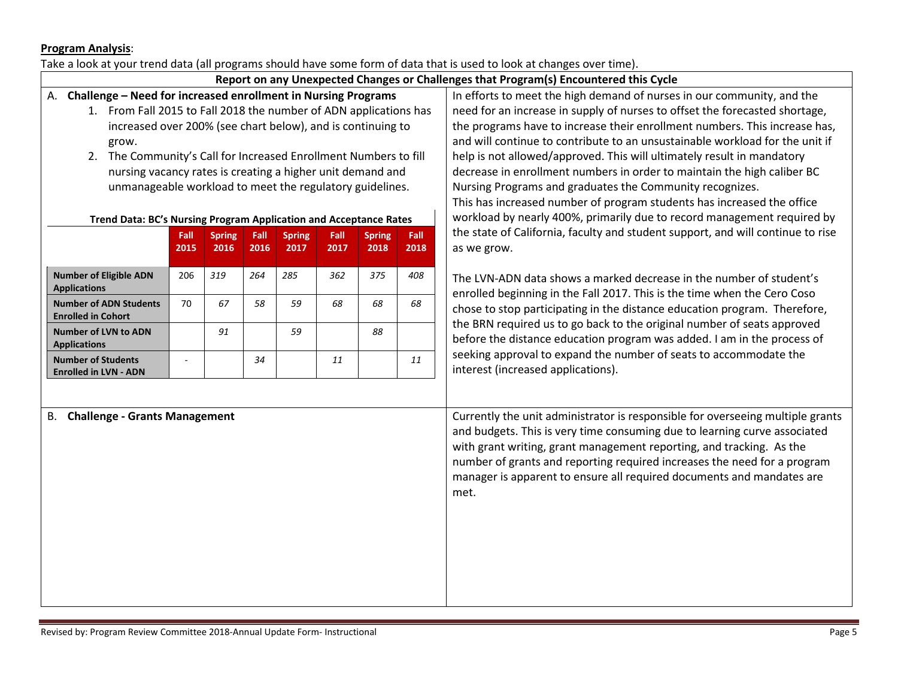#### **Program Analysis**:

#### Take a look at your trend data (all programs should have some form of data that is used to look at changes over time).

## **Report on any Unexpected Changes or Challenges that Program(s) Encountered this Cycle**

- A. **Challenge – Need for increased enrollment in Nursing Programs**
	- 1. From Fall 2015 to Fall 2018 the number of ADN applications has increased over 200% (see chart below), and is continuing to grow.
	- 2. The Community's Call for Increased Enrollment Numbers to fill nursing vacancy rates is creating a higher unit demand and unmanageable workload to meet the regulatory guidelines.

#### **Trend Data: BC's Nursing Program Application and Acceptance Rates**

|                                                            | Fall<br>2015 | <b>Spring</b><br>2016 | Fall<br>2016 | <b>Spring</b><br>2017 | Fall<br>2017 | <b>Spring</b><br>2018 | Fall<br>2018 |
|------------------------------------------------------------|--------------|-----------------------|--------------|-----------------------|--------------|-----------------------|--------------|
| <b>Number of Eligible ADN</b><br><b>Applications</b>       | 206          | 319                   | 264          | 285                   | 362          | 375                   | 408          |
| <b>Number of ADN Students</b><br><b>Enrolled in Cohort</b> | 70           | 67                    | 58           | 59                    | 68           | 68                    | 68           |
| <b>Number of LVN to ADN</b><br><b>Applications</b>         |              | 91                    |              | 59                    |              | 88                    |              |
| <b>Number of Students</b><br><b>Enrolled in LVN - ADN</b>  |              |                       | 34           |                       | 11           |                       | 11           |

In efforts to meet the high demand of nurses in our community, and the need for an increase in supply of nurses to offset the forecasted shortage, the programs have to increase their enrollment numbers. This increase has, and will continue to contribute to an unsustainable workload for the unit if help is not allowed/approved. This will ultimately result in mandatory decrease in enrollment numbers in order to maintain the high caliber BC Nursing Programs and graduates the Community recognizes. This has increased number of program students has increased the office workload by nearly 400%, primarily due to record management required by the state of California, faculty and student support, and will continue to rise as we grow.

The LVN-ADN data shows a marked decrease in the number of student's enrolled beginning in the Fall 2017. This is the time when the Cero Coso chose to stop participating in the distance education program. Therefore, the BRN required us to go back to the original number of seats approved before the distance education program was added. I am in the process of seeking approval to expand the number of seats to accommodate the interest (increased applications).

B. **Challenge - Grants Management** Currently the unit administrator is responsible for overseeing multiple grants and budgets. This is very time consuming due to learning curve associated with grant writing, grant management reporting, and tracking. As the number of grants and reporting required increases the need for a program manager is apparent to ensure all required documents and mandates are met.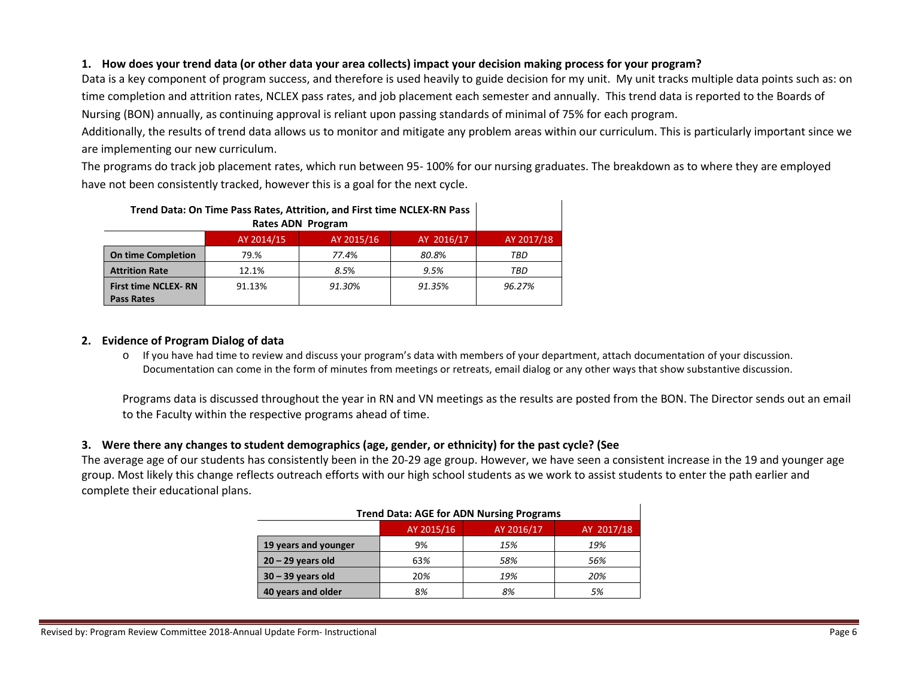## **1. How does your trend data (or other data your area collects) impact your decision making process for your program?**

Data is a key component of program success, and therefore is used heavily to guide decision for my unit. My unit tracks multiple data points such as: on time completion and attrition rates, NCLEX pass rates, and job placement each semester and annually. This trend data is reported to the Boards of Nursing (BON) annually, as continuing approval is reliant upon passing standards of minimal of 75% for each program.

Additionally, the results of trend data allows us to monitor and mitigate any problem areas within our curriculum. This is particularly important since we are implementing our new curriculum.

The programs do track job placement rates, which run between 95- 100% for our nursing graduates. The breakdown as to where they are employed have not been consistently tracked, however this is a goal for the next cycle.

| Trend Data: On Time Pass Rates, Attrition, and First time NCLEX-RN Pass |            |            |            |            |
|-------------------------------------------------------------------------|------------|------------|------------|------------|
|                                                                         |            |            |            |            |
|                                                                         | AY 2014/15 | AY 2015/16 | AY 2016/17 | AY 2017/18 |
| <b>On time Completion</b>                                               | 79.%       | 77.4%      | 80.8%      | TBD        |
| <b>Attrition Rate</b>                                                   | 12.1%      | 8.5%       | 9.5%       | TBD        |
| <b>First time NCLEX-RN</b><br><b>Pass Rates</b>                         | 91.13%     | 91.30%     | 91.35%     | 96.27%     |

#### **2. Evidence of Program Dialog of data**

o If you have had time to review and discuss your program's data with members of your department, attach documentation of your discussion. Documentation can come in the form of minutes from meetings or retreats, email dialog or any other ways that show substantive discussion.

Programs data is discussed throughout the year in RN and VN meetings as the results are posted from the BON. The Director sends out an email to the Faculty within the respective programs ahead of time.

#### **3. Were there any changes to student demographics (age, gender, or ethnicity) for the past cycle? (See**

The average age of our students has consistently been in the 20-29 age group. However, we have seen a consistent increase in the 19 and younger age group. Most likely this change reflects outreach efforts with our high school students as we work to assist students to enter the path earlier and complete their educational plans.

| <b>Trend Data: AGE for ADN Nursing Programs</b> |     |     |     |  |  |  |  |
|-------------------------------------------------|-----|-----|-----|--|--|--|--|
| AY 2016/17<br>AY 2015/16<br>AY 2017/18          |     |     |     |  |  |  |  |
| 19 years and younger                            | 9%  | 15% | 19% |  |  |  |  |
| $20 - 29$ years old                             | 63% | 58% | 56% |  |  |  |  |
| $30 - 39$ years old                             | 20% | 19% | 20% |  |  |  |  |
| 40 years and older                              | 8%  | 8%  | 5%  |  |  |  |  |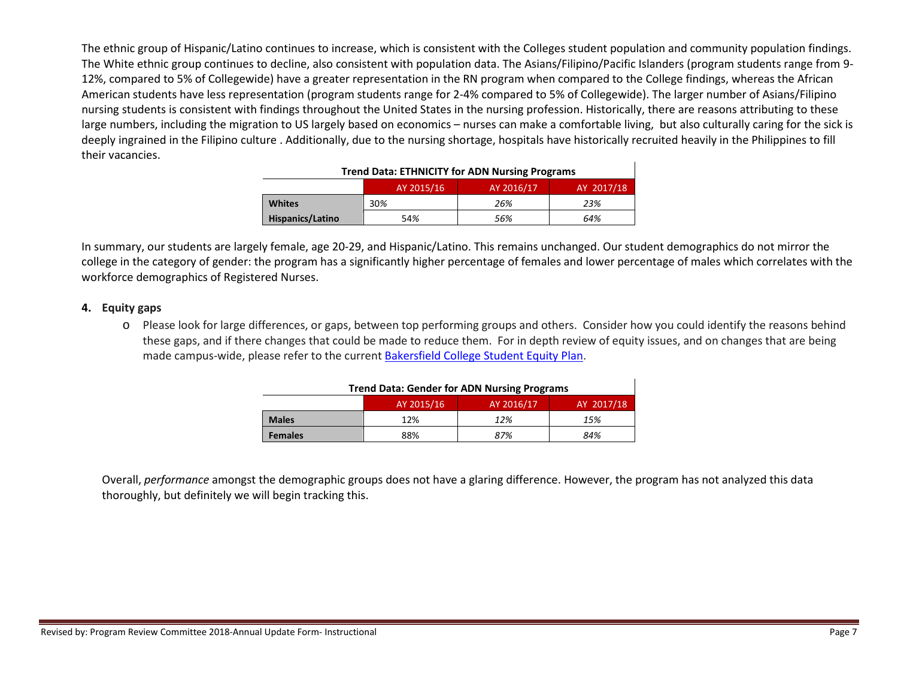The ethnic group of Hispanic/Latino continues to increase, which is consistent with the Colleges student population and community population findings. The White ethnic group continues to decline, also consistent with population data. The Asians/Filipino/Pacific Islanders (program students range from 9- 12%, compared to 5% of Collegewide) have a greater representation in the RN program when compared to the College findings, whereas the African American students have less representation (program students range for 2-4% compared to 5% of Collegewide). The larger number of Asians/Filipino nursing students is consistent with findings throughout the United States in the nursing profession. Historically, there are reasons attributing to these large numbers, including the migration to US largely based on economics – nurses can make a comfortable living, but also culturally caring for the sick is deeply ingrained in the Filipino culture . Additionally, due to the nursing shortage, hospitals have historically recruited heavily in the Philippines to fill their vacancies.

| <b>ITCHU DAIA. LITHVICH I TUI ADIVIVUISHIE FTUEFAHIS</b> |            |            |            |  |  |  |
|----------------------------------------------------------|------------|------------|------------|--|--|--|
|                                                          | AY 2015/16 | AY 2016/17 | AY 2017/18 |  |  |  |
| <b>Whites</b>                                            | 30%        | 26%        | 23%        |  |  |  |
| Hispanics/Latino                                         | 54%        | 56%        | 64%        |  |  |  |

#### **Trend Data: ETHNICITY for ADN Nursing Programs**

In summary, our students are largely female, age 20-29, and Hispanic/Latino. This remains unchanged. Our student demographics do not mirror the college in the category of gender: the program has a significantly higher percentage of females and lower percentage of males which correlates with the workforce demographics of Registered Nurses.

#### **4. Equity gaps**

o Please look for large differences, or gaps, between top performing groups and others. Consider how you could identify the reasons behind these gaps, and if there changes that could be made to reduce them. For in depth review of equity issues, and on changes that are being made campus-wide, please refer to the current [Bakersfield College Student Equity Plan.](https://www.bakersfieldcollege.edu/sites/bakersfieldcollege.edu/files/2015-18_StudentEquityPlan.pdf)

| <b>Trend Data: Gender for ADN Nursing Programs</b> |     |     |     |  |  |  |  |
|----------------------------------------------------|-----|-----|-----|--|--|--|--|
| AY 2016/17<br>AY 2017/18<br>AY 2015/16             |     |     |     |  |  |  |  |
| <b>Males</b>                                       | 12% | 12% | 15% |  |  |  |  |
| <b>Females</b>                                     | 88% | 87% | 84% |  |  |  |  |

Overall, *performance* amongst the demographic groups does not have a glaring difference. However, the program has not analyzed this data thoroughly, but definitely we will begin tracking this.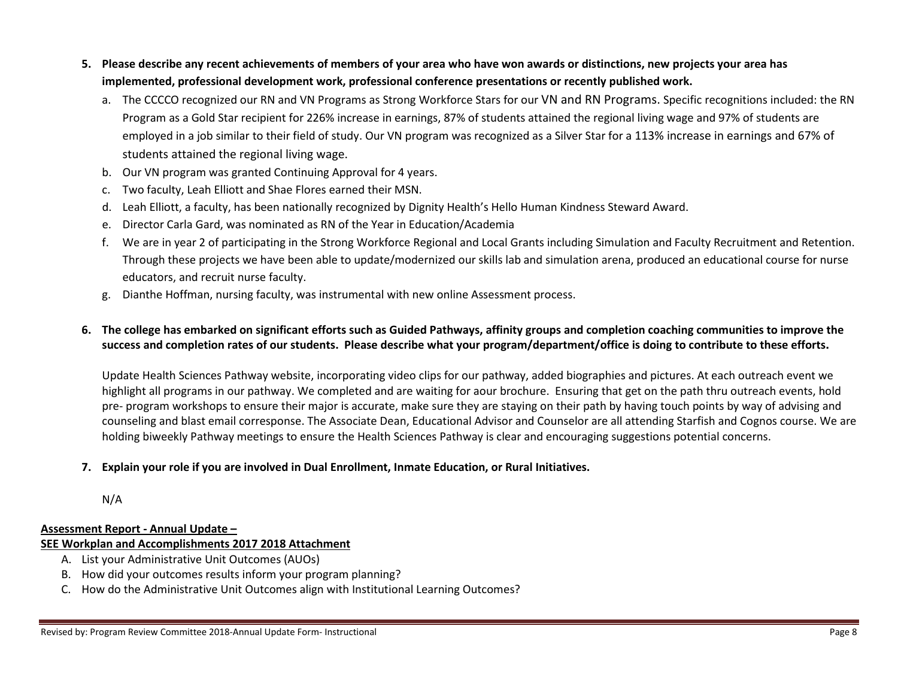- **5. Please describe any recent achievements of members of your area who have won awards or distinctions, new projects your area has implemented, professional development work, professional conference presentations or recently published work.**
	- a. The CCCCO recognized our RN and VN Programs as Strong Workforce Stars for our VN and RN Programs. Specific recognitions included: the RN Program as a Gold Star recipient for 226% increase in earnings, 87% of students attained the regional living wage and 97% of students are employed in a job similar to their field of study. Our VN program was recognized as a Silver Star for a 113% increase in earnings and 67% of students attained the regional living wage.
	- b. Our VN program was granted Continuing Approval for 4 years.
	- c. Two faculty, Leah Elliott and Shae Flores earned their MSN.
	- d. Leah Elliott, a faculty, has been nationally recognized by Dignity Health's Hello Human Kindness Steward Award.
	- e. Director Carla Gard, was nominated as RN of the Year in Education/Academia
	- f. We are in year 2 of participating in the Strong Workforce Regional and Local Grants including Simulation and Faculty Recruitment and Retention. Through these projects we have been able to update/modernized our skills lab and simulation arena, produced an educational course for nurse educators, and recruit nurse faculty.
	- g. Dianthe Hoffman, nursing faculty, was instrumental with new online Assessment process.

## **6. The college has embarked on significant efforts such as Guided Pathways, affinity groups and completion coaching communities to improve the success and completion rates of our students. Please describe what your program/department/office is doing to contribute to these efforts.**

Update Health Sciences Pathway website, incorporating video clips for our pathway, added biographies and pictures. At each outreach event we highlight all programs in our pathway. We completed and are waiting for aour brochure. Ensuring that get on the path thru outreach events, hold pre- program workshops to ensure their major is accurate, make sure they are staying on their path by having touch points by way of advising and counseling and blast email corresponse. The Associate Dean, Educational Advisor and Counselor are all attending Starfish and Cognos course. We are holding biweekly Pathway meetings to ensure the Health Sciences Pathway is clear and encouraging suggestions potential concerns.

## **7. Explain your role if you are involved in Dual Enrollment, Inmate Education, or Rural Initiatives.**

N/A

## **Assessment Report - Annual Update –**

## **SEE Workplan and Accomplishments 2017 2018 Attachment**

- A. List your Administrative Unit Outcomes (AUOs)
- B. How did your outcomes results inform your program planning?
- C. How do the Administrative Unit Outcomes align with Institutional Learning Outcomes?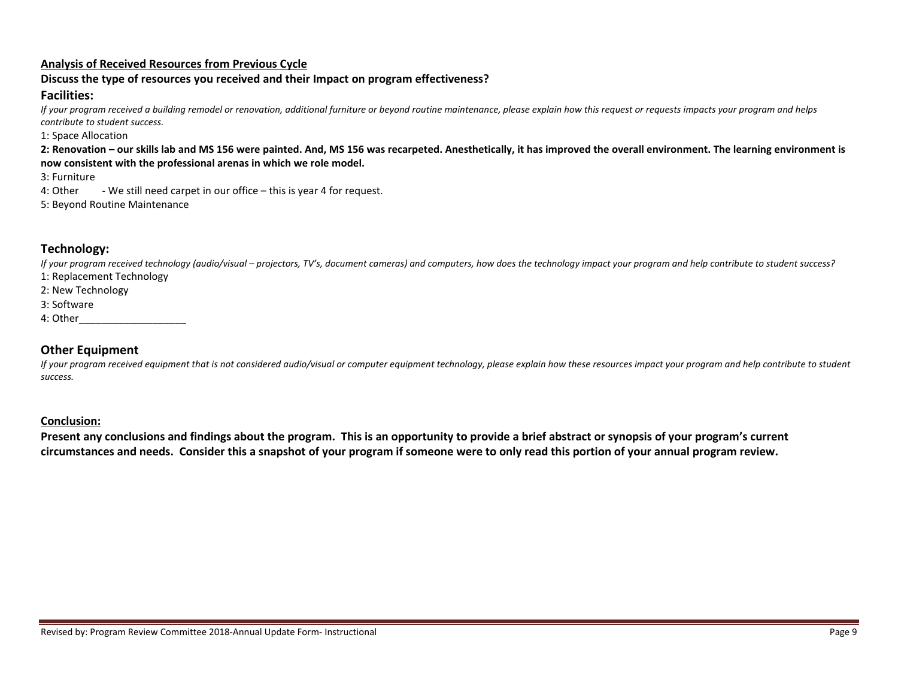#### **Analysis of Received Resources from Previous Cycle**

## **Discuss the type of resources you received and their Impact on program effectiveness?**

#### **Facilities:**

*If your program received a building remodel or renovation, additional furniture or beyond routine maintenance, please explain how this request or requests impacts your program and helps contribute to student success.*

1: Space Allocation

**2: Renovation – our skills lab and MS 156 were painted. And, MS 156 was recarpeted. Anesthetically, it has improved the overall environment. The learning environment is now consistent with the professional arenas in which we role model.** 

3: Furniture

4: Other - We still need carpet in our office – this is year 4 for request.

5: Beyond Routine Maintenance

## **Technology:**

*If your program received technology (audio/visual – projectors, TV's, document cameras) and computers, how does the technology impact your program and help contribute to student success?* 1: Replacement Technology

2: New Technology

3: Software

4: Other\_\_\_\_\_\_\_\_\_\_\_\_\_\_\_\_\_\_\_

## **Other Equipment**

*If your program received equipment that is not considered audio/visual or computer equipment technology, please explain how these resources impact your program and help contribute to student success.*

#### **Conclusion:**

**Present any conclusions and findings about the program. This is an opportunity to provide a brief abstract or synopsis of your program's current circumstances and needs. Consider this a snapshot of your program if someone were to only read this portion of your annual program review.**